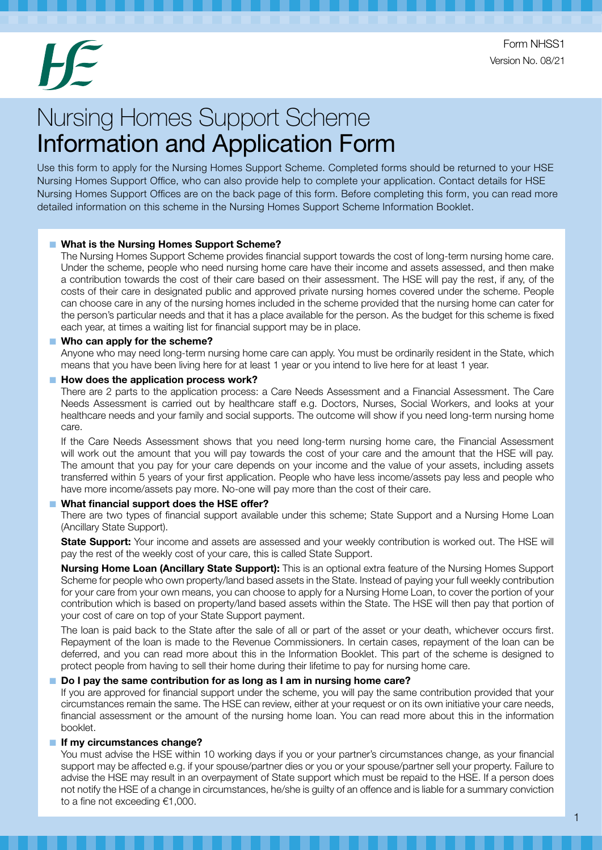Form NHSS1 Version No. 08/21

# Nursing Homes Support Scheme Information and Application Form

Use this form to apply for the Nursing Homes Support Scheme. Completed forms should be returned to your HSE Nursing Homes Support Office, who can also provide help to complete your application. Contact details for HSE Nursing Homes Support Offices are on the back page of this form. Before completing this form, you can read more detailed information on this scheme in the Nursing Homes Support Scheme Information Booklet.

#### ■ What is the Nursing Homes Support Scheme?

The Nursing Homes Support Scheme provides financial support towards the cost of long-term nursing home care. Under the scheme, people who need nursing home care have their income and assets assessed, and then make a contribution towards the cost of their care based on their assessment. The HSE will pay the rest, if any, of the costs of their care in designated public and approved private nursing homes covered under the scheme. People can choose care in any of the nursing homes included in the scheme provided that the nursing home can cater for the person's particular needs and that it has a place available for the person. As the budget for this scheme is fixed each year, at times a waiting list for financial support may be in place.

#### ■ Who can apply for the scheme?

Anyone who may need long-term nursing home care can apply. You must be ordinarily resident in the State, which means that you have been living here for at least 1 year or you intend to live here for at least 1 year.

#### ■ How does the application process work?

There are 2 parts to the application process: a Care Needs Assessment and a Financial Assessment. The Care Needs Assessment is carried out by healthcare staff e.g. Doctors, Nurses, Social Workers, and looks at your healthcare needs and your family and social supports. The outcome will show if you need long-term nursing home care.

If the Care Needs Assessment shows that you need long-term nursing home care, the Financial Assessment will work out the amount that you will pay towards the cost of your care and the amount that the HSE will pay. The amount that you pay for your care depends on your income and the value of your assets, including assets transferred within 5 years of your first application. People who have less income/assets pay less and people who have more income/assets pay more. No-one will pay more than the cost of their care.

#### What financial support does the HSE offer?

There are two types of financial support available under this scheme; State Support and a Nursing Home Loan (Ancillary State Support).

State Support: Your income and assets are assessed and your weekly contribution is worked out. The HSE will pay the rest of the weekly cost of your care, this is called State Support.

Nursing Home Loan (Ancillary State Support): This is an optional extra feature of the Nursing Homes Support Scheme for people who own property/land based assets in the State. Instead of paying your full weekly contribution for your care from your own means, you can choose to apply for a Nursing Home Loan, to cover the portion of your contribution which is based on property/land based assets within the State. The HSE will then pay that portion of your cost of care on top of your State Support payment.

The loan is paid back to the State after the sale of all or part of the asset or your death, whichever occurs first. Repayment of the loan is made to the Revenue Commissioners. In certain cases, repayment of the loan can be deferred, and you can read more about this in the Information Booklet. This part of the scheme is designed to protect people from having to sell their home during their lifetime to pay for nursing home care.

#### Do I pay the same contribution for as long as I am in nursing home care?

If you are approved for financial support under the scheme, you will pay the same contribution provided that your circumstances remain the same. The HSE can review, either at your request or on its own initiative your care needs, financial assessment or the amount of the nursing home loan. You can read more about this in the information booklet.

#### ■ If my circumstances change?

You must advise the HSE within 10 working days if you or your partner's circumstances change, as your financial support may be affected e.g. if your spouse/partner dies or you or your spouse/partner sell your property. Failure to advise the HSE may result in an overpayment of State support which must be repaid to the HSE. If a person does not notify the HSE of a change in circumstances, he/she is guilty of an offence and is liable for a summary conviction to a fine not exceeding €1,000.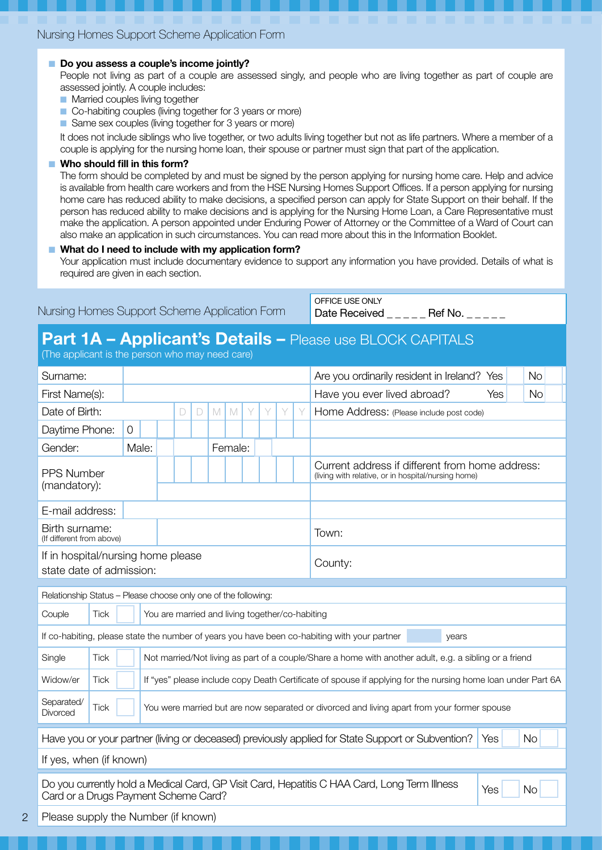#### ■ Do you assess a couple's income jointly?

People not living as part of a couple are assessed singly, and people who are living together as part of couple are assessed jointly. A couple includes:

- Married couples living together
- Co-habiting couples (living together for 3 years or more)
- Same sex couples (living together for 3 years or more)

It does not include siblings who live together, or two adults living together but not as life partners. Where a member of a couple is applying for the nursing home loan, their spouse or partner must sign that part of the application.

#### ■ Who should fill in this form?

The form should be completed by and must be signed by the person applying for nursing home care. Help and advice is available from health care workers and from the HSE Nursing Homes Support Offices. If a person applying for nursing home care has reduced ability to make decisions, a specified person can apply for State Support on their behalf. If the person has reduced ability to make decisions and is applying for the Nursing Home Loan, a Care Representative must make the application. A person appointed under Enduring Power of Attorney or the Committee of a Ward of Court can also make an application in such circumstances. You can read more about this in the Information Booklet.

#### What do I need to include with my application form?

Your application must include documentary evidence to support any information you have provided. Details of what is required are given in each section.

| Nursing Homes Support Scheme Application Form |
|-----------------------------------------------|
|-----------------------------------------------|

OFFICE USE ONLY Date Received \_ \_ \_ \_ \_ Ref No. \_ \_ \_ \_ \_

### Part 1A - Applicant's Details - Please use BLOCK CAPITALS

(The applicant is the person who may need care)

2

| Surname:                                                                                                                                                 |                                                                                                            |                |  |                                                 |   |        |   |              | Are you ordinarily resident in Ireland? Yes<br><b>No</b> |   |   |  |                                                                                                              |  |  |  |  |  |  |
|----------------------------------------------------------------------------------------------------------------------------------------------------------|------------------------------------------------------------------------------------------------------------|----------------|--|-------------------------------------------------|---|--------|---|--------------|----------------------------------------------------------|---|---|--|--------------------------------------------------------------------------------------------------------------|--|--|--|--|--|--|
| First Name(s):                                                                                                                                           |                                                                                                            |                |  |                                                 |   |        |   |              |                                                          |   |   |  | Have you ever lived abroad?<br><b>No</b><br>Yes                                                              |  |  |  |  |  |  |
| Date of Birth:                                                                                                                                           |                                                                                                            |                |  |                                                 | D | $\Box$ | M | $\mathbb{M}$ | Y                                                        | Y | Y |  | Home Address: (Please include post code)                                                                     |  |  |  |  |  |  |
| Daytime Phone:                                                                                                                                           |                                                                                                            | $\overline{O}$ |  |                                                 |   |        |   |              |                                                          |   |   |  |                                                                                                              |  |  |  |  |  |  |
| Gender:                                                                                                                                                  |                                                                                                            | Male:          |  |                                                 |   |        |   | Female:      |                                                          |   |   |  |                                                                                                              |  |  |  |  |  |  |
| <b>PPS Number</b><br>(mandatory):                                                                                                                        |                                                                                                            |                |  |                                                 |   |        |   |              |                                                          |   |   |  | Current address if different from home address:<br>(living with relative, or in hospital/nursing home)       |  |  |  |  |  |  |
| E-mail address:                                                                                                                                          |                                                                                                            |                |  |                                                 |   |        |   |              |                                                          |   |   |  |                                                                                                              |  |  |  |  |  |  |
| Birth surname:<br>(If different from above)                                                                                                              |                                                                                                            |                |  |                                                 |   |        |   |              |                                                          |   |   |  | Town:                                                                                                        |  |  |  |  |  |  |
| If in hospital/nursing home please<br>County:<br>state date of admission:                                                                                |                                                                                                            |                |  |                                                 |   |        |   |              |                                                          |   |   |  |                                                                                                              |  |  |  |  |  |  |
|                                                                                                                                                          |                                                                                                            |                |  |                                                 |   |        |   |              |                                                          |   |   |  |                                                                                                              |  |  |  |  |  |  |
| Relationship Status - Please choose only one of the following:                                                                                           |                                                                                                            |                |  |                                                 |   |        |   |              |                                                          |   |   |  |                                                                                                              |  |  |  |  |  |  |
| Couple                                                                                                                                                   | Tick                                                                                                       |                |  | You are married and living together/co-habiting |   |        |   |              |                                                          |   |   |  |                                                                                                              |  |  |  |  |  |  |
|                                                                                                                                                          |                                                                                                            |                |  |                                                 |   |        |   |              |                                                          |   |   |  | If co-habiting, please state the number of years you have been co-habiting with your partner<br>years        |  |  |  |  |  |  |
| Single                                                                                                                                                   | Tick                                                                                                       |                |  |                                                 |   |        |   |              |                                                          |   |   |  | Not married/Not living as part of a couple/Share a home with another adult, e.g. a sibling or a friend       |  |  |  |  |  |  |
| Widow/er                                                                                                                                                 | <b>Tick</b>                                                                                                |                |  |                                                 |   |        |   |              |                                                          |   |   |  | If "yes" please include copy Death Certificate of spouse if applying for the nursing home loan under Part 6A |  |  |  |  |  |  |
| Separated/<br>Divorced                                                                                                                                   | <b>Tick</b><br>You were married but are now separated or divorced and living apart from your former spouse |                |  |                                                 |   |        |   |              |                                                          |   |   |  |                                                                                                              |  |  |  |  |  |  |
| Have you or your partner (living or deceased) previously applied for State Support or Subvention?<br><b>No</b><br>Yes                                    |                                                                                                            |                |  |                                                 |   |        |   |              |                                                          |   |   |  |                                                                                                              |  |  |  |  |  |  |
| If yes, when (if known)                                                                                                                                  |                                                                                                            |                |  |                                                 |   |        |   |              |                                                          |   |   |  |                                                                                                              |  |  |  |  |  |  |
| Do you currently hold a Medical Card, GP Visit Card, Hepatitis C HAA Card, Long Term Illness<br>Yes<br><b>No</b><br>Card or a Drugs Payment Scheme Card? |                                                                                                            |                |  |                                                 |   |        |   |              |                                                          |   |   |  |                                                                                                              |  |  |  |  |  |  |
| Please supply the Number (if known)                                                                                                                      |                                                                                                            |                |  |                                                 |   |        |   |              |                                                          |   |   |  |                                                                                                              |  |  |  |  |  |  |
|                                                                                                                                                          |                                                                                                            |                |  |                                                 |   |        |   |              |                                                          |   |   |  |                                                                                                              |  |  |  |  |  |  |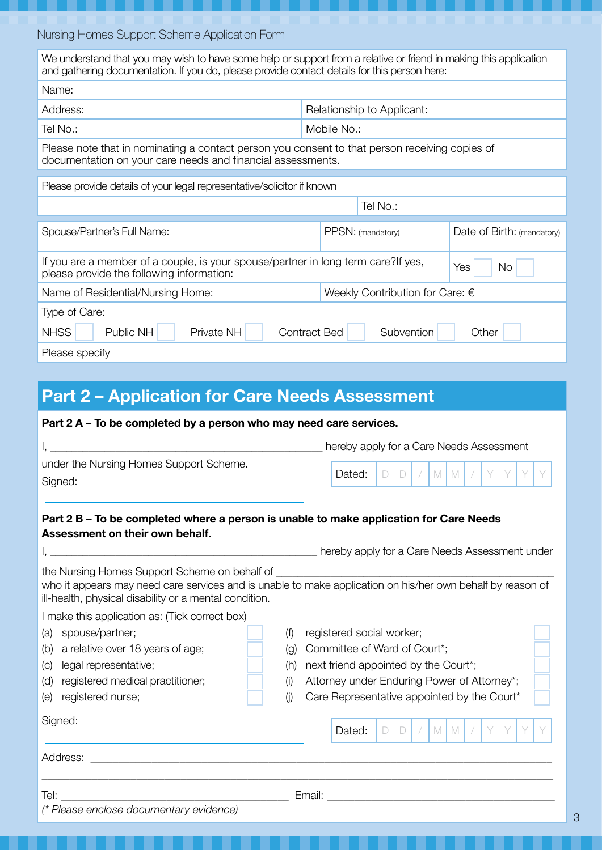| We understand that you may wish to have some help or support from a relative or friend in making this application<br>and gathering documentation. If you do, please provide contact details for this person here: |                   |                            |  |  |  |  |
|-------------------------------------------------------------------------------------------------------------------------------------------------------------------------------------------------------------------|-------------------|----------------------------|--|--|--|--|
| Name:                                                                                                                                                                                                             |                   |                            |  |  |  |  |
| Address:<br>Relationship to Applicant:                                                                                                                                                                            |                   |                            |  |  |  |  |
| Tel No.:                                                                                                                                                                                                          | Mobile No.:       |                            |  |  |  |  |
| Please note that in nominating a contact person you consent to that person receiving copies of<br>documentation on your care needs and financial assessments.                                                     |                   |                            |  |  |  |  |
| Please provide details of your legal representative/solicitor if known                                                                                                                                            |                   |                            |  |  |  |  |
| Tel No.:                                                                                                                                                                                                          |                   |                            |  |  |  |  |
| Spouse/Partner's Full Name:                                                                                                                                                                                       | PPSN: (mandatory) | Date of Birth: (mandatory) |  |  |  |  |
| If you are a member of a couple, is your spouse/partner in long term care?If yes,<br>Yes<br><b>No</b><br>please provide the following information:                                                                |                   |                            |  |  |  |  |
| Weekly Contribution for Care: €<br>Name of Residential/Nursing Home:                                                                                                                                              |                   |                            |  |  |  |  |
| Type of Care:                                                                                                                                                                                                     |                   |                            |  |  |  |  |
| <b>NHSS</b><br>Private NH<br>Public NH<br><b>Contract Bed</b><br>Subvention<br>Other                                                                                                                              |                   |                            |  |  |  |  |
|                                                                                                                                                                                                                   |                   |                            |  |  |  |  |
| Please specify                                                                                                                                                                                                    |                   |                            |  |  |  |  |

# Part 2 – Application for Care Needs Assessment

| Part 2 A - To be completed by a person who may need care services.                                                                                                                  |                                                                                                                                                                                                                                                                       |
|-------------------------------------------------------------------------------------------------------------------------------------------------------------------------------------|-----------------------------------------------------------------------------------------------------------------------------------------------------------------------------------------------------------------------------------------------------------------------|
|                                                                                                                                                                                     | hereby apply for a Care Needs Assessment                                                                                                                                                                                                                              |
| under the Nursing Homes Support Scheme.<br>Signed:                                                                                                                                  | Dated:<br>M<br>M<br>D.<br>$\begin{array}{c} \end{array}$                                                                                                                                                                                                              |
| Part 2 B – To be completed where a person is unable to make application for Care Needs<br>Assessment on their own behalf.                                                           |                                                                                                                                                                                                                                                                       |
|                                                                                                                                                                                     | nereby apply for a Care Needs Assessment under the matter of the matter of the matter of the matter of the matter                                                                                                                                                     |
| the Nursing Homes Support Scheme on behalf of<br>ill-health, physical disability or a mental condition.<br>I make this application as: (Tick correct box)                           | who it appears may need care services and is unable to make application on his/her own behalf by reason of                                                                                                                                                            |
| spouse/partner;<br>(a)<br>a relative over 18 years of age;<br>(b)<br>legal representative;<br>(C)<br>registered medical practitioner;<br>(d)<br>registered nurse;<br>(e)<br>Signed: | registered social worker;<br>(f)<br>Committee of Ward of Court*;<br>(q)<br>next friend appointed by the Court*;<br>(h)<br>Attorney under Enduring Power of Attorney*;<br>(i)<br>Care Representative appointed by the Court*<br>(i)<br>Dated:<br>M   M<br>D.<br>$\Box$ |
| Address:                                                                                                                                                                            |                                                                                                                                                                                                                                                                       |
| Tel:<br>(* Please enclose documentary evidence)                                                                                                                                     | Email:<br><u> 1989 - Johann John Stone, mars eta biztanleria (h. 1989).</u>                                                                                                                                                                                           |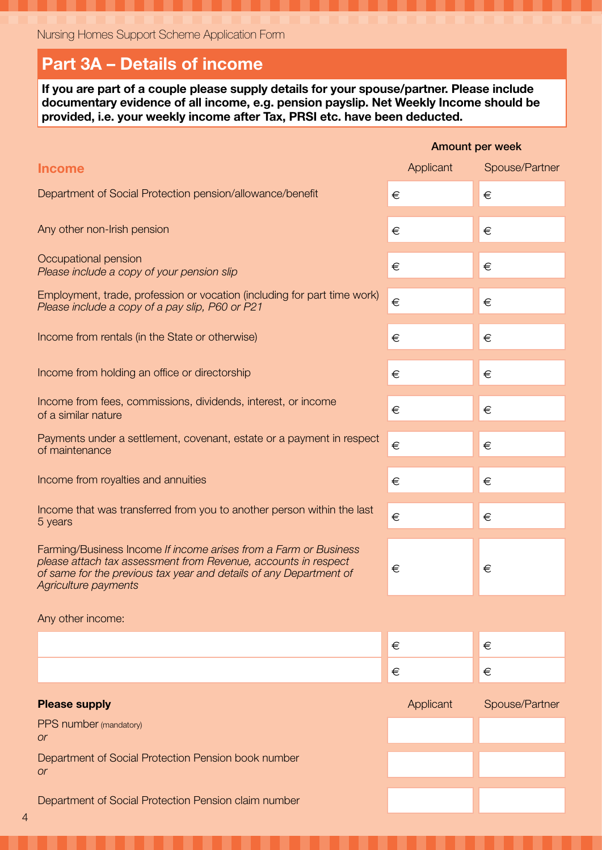### Part 3A – Details of income

If you are part of a couple please supply details for your spouse/partner. Please include documentary evidence of all income, e.g. pension payslip. Net Weekly Income should be provided, i.e. your weekly income after Tax, PRSI etc. have been deducted.

|                                                                                                                                                                                                                                  |           | Amount per week |
|----------------------------------------------------------------------------------------------------------------------------------------------------------------------------------------------------------------------------------|-----------|-----------------|
| <b>Income</b>                                                                                                                                                                                                                    | Applicant | Spouse/Partner  |
| Department of Social Protection pension/allowance/benefit                                                                                                                                                                        | €         | €               |
| Any other non-Irish pension                                                                                                                                                                                                      | €         | €               |
| Occupational pension<br>Please include a copy of your pension slip                                                                                                                                                               | €         | €               |
| Employment, trade, profession or vocation (including for part time work)<br>Please include a copy of a pay slip, P60 or P21                                                                                                      | €         | €               |
| Income from rentals (in the State or otherwise)                                                                                                                                                                                  | €         | €               |
| Income from holding an office or directorship                                                                                                                                                                                    | €         | €               |
| Income from fees, commissions, dividends, interest, or income<br>of a similar nature                                                                                                                                             | €         | €               |
| Payments under a settlement, covenant, estate or a payment in respect<br>of maintenance                                                                                                                                          | $\in$     | €               |
| Income from royalties and annuities                                                                                                                                                                                              | €         | €               |
| Income that was transferred from you to another person within the last<br>5 years                                                                                                                                                | €         | €               |
| Farming/Business Income If income arises from a Farm or Business<br>please attach tax assessment from Revenue, accounts in respect<br>of same for the previous tax year and details of any Department of<br>Agriculture payments | €         | €               |
| Any other income:                                                                                                                                                                                                                |           |                 |
|                                                                                                                                                                                                                                  | €         | €               |
|                                                                                                                                                                                                                                  | €         | €               |
| <b>Please supply</b>                                                                                                                                                                                                             | Applicant | Spouse/Partner  |
| PPS number (mandatory)<br><b>or</b>                                                                                                                                                                                              |           |                 |
| Department of Social Protection Pension book number<br><b>or</b>                                                                                                                                                                 |           |                 |
|                                                                                                                                                                                                                                  |           |                 |

Department of Social Protection Pension claim number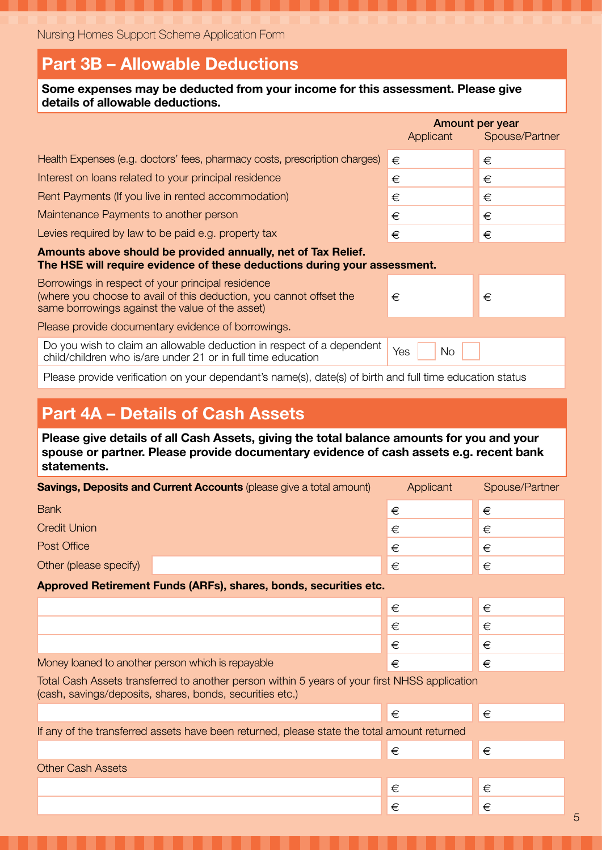### Part 3B – Allowable Deductions

| Some expenses may be deducted from your income for this assessment. Please give<br>details of allowable deductions.                                                         |                  |                                   |  |  |  |  |
|-----------------------------------------------------------------------------------------------------------------------------------------------------------------------------|------------------|-----------------------------------|--|--|--|--|
|                                                                                                                                                                             | Applicant        | Amount per year<br>Spouse/Partner |  |  |  |  |
| Health Expenses (e.g. doctors' fees, pharmacy costs, prescription charges)                                                                                                  | €                | €                                 |  |  |  |  |
| Interest on loans related to your principal residence                                                                                                                       | €                | €                                 |  |  |  |  |
| Rent Payments (If you live in rented accommodation)                                                                                                                         | €                | €                                 |  |  |  |  |
| Maintenance Payments to another person                                                                                                                                      | €                | €                                 |  |  |  |  |
| Levies required by law to be paid e.g. property tax                                                                                                                         | €                | €                                 |  |  |  |  |
| Amounts above should be provided annually, net of Tax Relief.<br>The HSE will require evidence of these deductions during your assessment.                                  |                  |                                   |  |  |  |  |
| Borrowings in respect of your principal residence<br>(where you choose to avail of this deduction, you cannot offset the<br>same borrowings against the value of the asset) | €                | €                                 |  |  |  |  |
| Please provide documentary evidence of borrowings.                                                                                                                          |                  |                                   |  |  |  |  |
| Do you wish to claim an allowable deduction in respect of a dependent<br>child/children who is/are under 21 or in full time education                                       | Yes<br><b>No</b> |                                   |  |  |  |  |
| Please provide verification on your dependant's name(s), date(s) of birth and full time education status                                                                    |                  |                                   |  |  |  |  |
|                                                                                                                                                                             |                  |                                   |  |  |  |  |
| <b>Part 4A - Details of Cash Assets</b>                                                                                                                                     |                  |                                   |  |  |  |  |
| Please give details of all Cash Assets, giving the total balance amounts for you and your                                                                                   |                  |                                   |  |  |  |  |

spouse or partner. Please provide documentary evidence of cash assets e.g. recent bank statements.

| <b>Savings, Deposits and Current Accounts (please give a total amount)</b>                                                                                | Applicant | Spouse/Partner |
|-----------------------------------------------------------------------------------------------------------------------------------------------------------|-----------|----------------|
| <b>Bank</b>                                                                                                                                               | €         | €              |
| <b>Credit Union</b>                                                                                                                                       | €         | €              |
| Post Office                                                                                                                                               | €         | €              |
| Other (please specify)                                                                                                                                    | €         | €              |
| Approved Retirement Funds (ARFs), shares, bonds, securities etc.                                                                                          |           |                |
|                                                                                                                                                           | €         | €              |
|                                                                                                                                                           | €         | €              |
|                                                                                                                                                           | €         | €              |
| Money loaned to another person which is repayable                                                                                                         | €         | €              |
| Total Cash Assets transferred to another person within 5 years of your first NHSS application<br>(cash, savings/deposits, shares, bonds, securities etc.) |           |                |
|                                                                                                                                                           | €         | €              |
| If any of the transferred assets have been returned, please state the total amount returned                                                               |           |                |
|                                                                                                                                                           | €         | €              |
| <b>Other Cash Assets</b>                                                                                                                                  |           |                |

€ €  $\epsilon$   $\epsilon$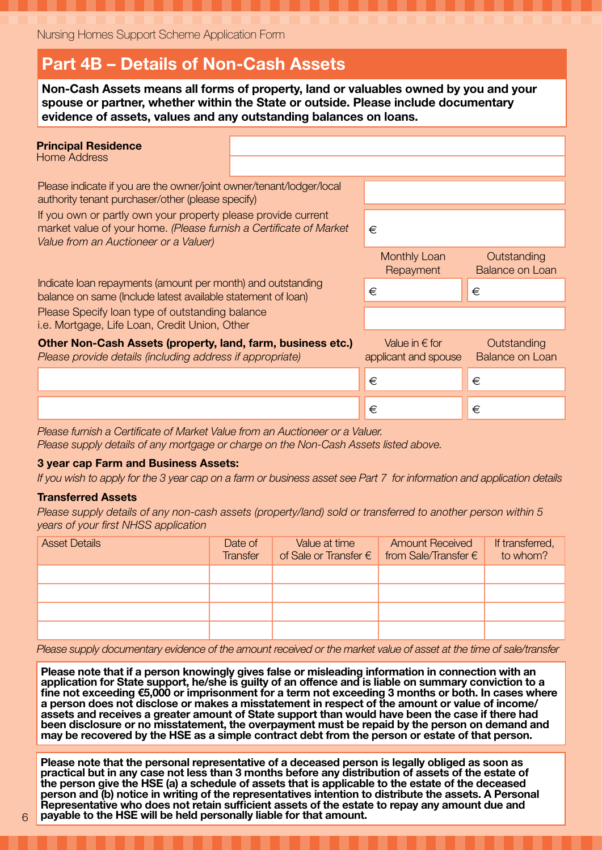### Part 4B – Details of Non-Cash Assets

Non-Cash Assets means all forms of property, land or valuables owned by you and your spouse or partner, whether within the State or outside. Please include documentary evidence of assets, values and any outstanding balances on loans.

| <b>Principal Residence</b><br>Home Address                                                                                                                                   |   |                                                 |                                       |
|------------------------------------------------------------------------------------------------------------------------------------------------------------------------------|---|-------------------------------------------------|---------------------------------------|
| Please indicate if you are the owner/joint owner/tenant/lodger/local<br>authority tenant purchaser/other (please specify)                                                    |   |                                                 |                                       |
| If you own or partly own your property please provide current<br>market value of your home. (Please furnish a Certificate of Market<br>Value from an Auctioneer or a Valuer) |   | €                                               |                                       |
|                                                                                                                                                                              |   | <b>Monthly Loan</b><br>Repayment                | Outstanding<br><b>Balance on Loan</b> |
| Indicate loan repayments (amount per month) and outstanding<br>balance on same (Include latest available statement of loan)                                                  | € | €                                               |                                       |
| Please Specify loan type of outstanding balance<br>i.e. Mortgage, Life Loan, Credit Union, Other                                                                             |   |                                                 |                                       |
| Other Non-Cash Assets (property, land, farm, business etc.)<br>Please provide details (including address if appropriate)                                                     |   | Value in $\epsilon$ for<br>applicant and spouse | Outstanding<br><b>Balance on Loan</b> |
|                                                                                                                                                                              |   | €                                               | €                                     |
|                                                                                                                                                                              |   | €                                               | €                                     |

*Please furnish a Certificate of Market Value from an Auctioneer or a Valuer.*

*Please supply details of any mortgage or charge on the Non-Cash Assets listed above.*

#### 3 year cap Farm and Business Assets:

*If you wish to apply for the 3 year cap on a farm or business asset see Part 7 for information and application details*

#### Transferred Assets

*Please supply details of any non-cash assets (property/land) sold or transferred to another person within 5 years of your first NHSS application*

| <b>Asset Details</b> | Date of<br><b>Transfer</b> | Value at time | <b>Amount Received</b><br>of Sale or Transfer $\epsilon$ from Sale/Transfer $\epsilon$ | If transferred,<br>to whom? |
|----------------------|----------------------------|---------------|----------------------------------------------------------------------------------------|-----------------------------|
|                      |                            |               |                                                                                        |                             |
|                      |                            |               |                                                                                        |                             |
|                      |                            |               |                                                                                        |                             |
|                      |                            |               |                                                                                        |                             |

*Please supply documentary evidence of the amount received or the market value of asset at the time of sale/transfer*

Please note that if a person knowingly gives false or misleading information in connection with an application for State support, he/she is guilty of an offence and is liable on summary conviction to a fine not exceeding €5,000 or imprisonment for a term not exceeding 3 months or both. In cases where a person does not disclose or makes a misstatement in respect of the amount or value of income/ assets and receives a greater amount of State support than would have been the case if there had been disclosure or no misstatement, the overpayment must be repaid by the person on demand and may be recovered by the HSE as a simple contract debt from the person or estate of that person.

Please note that the personal representative of a deceased person is legally obliged as soon as practical but in any case not less than 3 months before any distribution of assets of the estate of the person give the HSE (a) a schedule of assets that is applicable to the estate of the deceased person and (b) notice in writing of the representatives intention to distribute the assets. A Personal Representative who does not retain sufficient assets of the estate to repay any amount due and payable to the HSE will be held personally liable for that amount.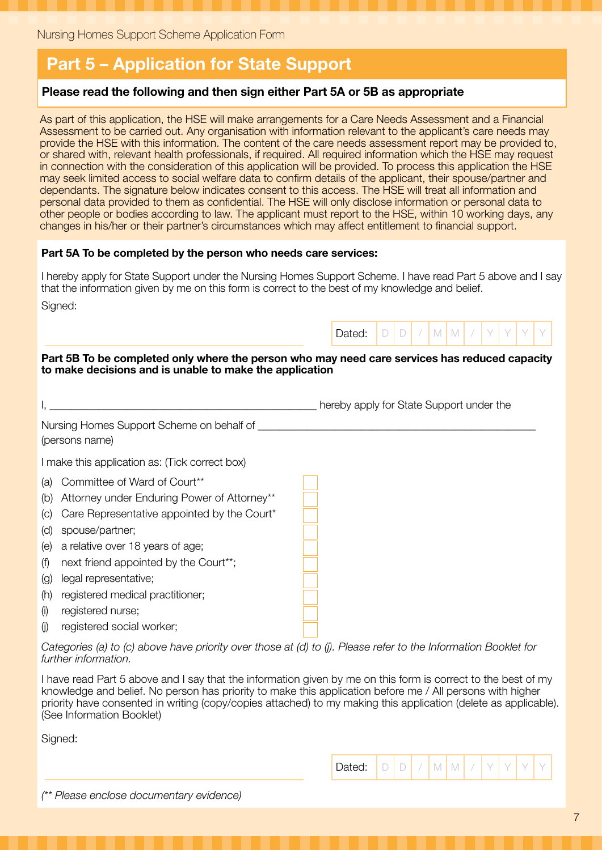### Part 5 – Application for State Support

### Please read the following and then sign either Part 5A or 5B as appropriate

As part of this application, the HSE will make arrangements for a Care Needs Assessment and a Financial Assessment to be carried out. Any organisation with information relevant to the applicant's care needs may provide the HSE with this information. The content of the care needs assessment report may be provided to, or shared with, relevant health professionals, if required. All required information which the HSE may request in connection with the consideration of this application will be provided. To process this application the HSE may seek limited access to social welfare data to confirm details of the applicant, their spouse/partner and dependants. The signature below indicates consent to this access. The HSE will treat all information and personal data provided to them as confidential. The HSE will only disclose information or personal data to other people or bodies according to law. The applicant must report to the HSE, within 10 working days, any changes in his/her or their partner's circumstances which may affect entitlement to financial support.

#### Part 5A To be completed by the person who needs care services:

I hereby apply for State Support under the Nursing Homes Support Scheme. I have read Part 5 above and I say that the information given by me on this form is correct to the best of my knowledge and belief.

Signed:

#### Part 5B To be completed only where the person who may need care services has reduced capacity to make decisions and is unable to make the application

Dated:  $D D / M M$ 

|     |                                                                                                               | hereby apply for State Support under the |
|-----|---------------------------------------------------------------------------------------------------------------|------------------------------------------|
|     | Nursing Homes Support Scheme on behalf of<br>(persons name)                                                   |                                          |
|     | I make this application as: (Tick correct box)                                                                |                                          |
| (a) | Committee of Ward of Court**                                                                                  |                                          |
| (b) | Attorney under Enduring Power of Attorney**                                                                   |                                          |
| (C) | Care Representative appointed by the Court*                                                                   |                                          |
| (d) | spouse/partner;                                                                                               |                                          |
| (e) | a relative over 18 years of age;                                                                              |                                          |
| (f) | next friend appointed by the Court**;                                                                         |                                          |
| (g) | legal representative;                                                                                         |                                          |
| (h) | registered medical practitioner;                                                                              |                                          |
| (i) | registered nurse;                                                                                             |                                          |
| (i) | registered social worker;                                                                                     |                                          |
|     | Catagorias (a) to (a) abous hous priority quarthage at (d) to (i) Dlagge refer to the Information Depulst for |                                          |

*Categories (a) to (c) above have priority over those at (d) to (j). Please refer to the Information Booklet for further information.*

I have read Part 5 above and I say that the information given by me on this form is correct to the best of my knowledge and belief. No person has priority to make this application before me / All persons with higher priority have consented in writing (copy/copies attached) to my making this application (delete as applicable). (See Information Booklet)

Signed:

| (** Please enclose documentary evidence) |  |  |  |  |  |  |
|------------------------------------------|--|--|--|--|--|--|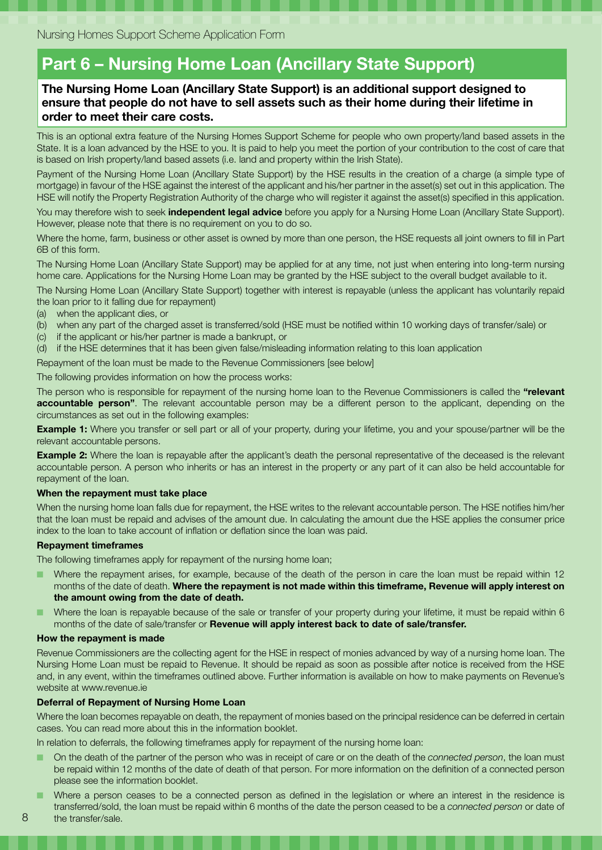### Part 6 – Nursing Home Loan (Ancillary State Support)

#### The Nursing Home Loan (Ancillary State Support) is an additional support designed to ensure that people do not have to sell assets such as their home during their lifetime in order to meet their care costs.

This is an optional extra feature of the Nursing Homes Support Scheme for people who own property/land based assets in the State. It is a loan advanced by the HSE to you. It is paid to help you meet the portion of your contribution to the cost of care that is based on Irish property/land based assets (i.e. land and property within the Irish State).

Payment of the Nursing Home Loan (Ancillary State Support) by the HSE results in the creation of a charge (a simple type of mortgage) in favour of the HSE against the interest of the applicant and his/her partner in the asset(s) set out in this application. The HSE will notify the Property Registration Authority of the charge who will register it against the asset(s) specified in this application.

You may therefore wish to seek *independent legal advice* before you apply for a Nursing Home Loan (Ancillary State Support). However, please note that there is no requirement on you to do so.

Where the home, farm, business or other asset is owned by more than one person, the HSE requests all joint owners to fill in Part 6B of this form.

The Nursing Home Loan (Ancillary State Support) may be applied for at any time, not just when entering into long-term nursing home care. Applications for the Nursing Home Loan may be granted by the HSE subject to the overall budget available to it.

The Nursing Home Loan (Ancillary State Support) together with interest is repayable (unless the applicant has voluntarily repaid the loan prior to it falling due for repayment)

- (a) when the applicant dies, or
- (b) when any part of the charged asset is transferred/sold (HSE must be notified within 10 working days of transfer/sale) or
- (c) if the applicant or his/her partner is made a bankrupt, or
- (d) if the HSE determines that it has been given false/misleading information relating to this loan application

Repayment of the loan must be made to the Revenue Commissioners [see below]

The following provides information on how the process works:

The person who is responsible for repayment of the nursing home loan to the Revenue Commissioners is called the "relevant accountable person". The relevant accountable person may be a different person to the applicant, depending on the circumstances as set out in the following examples:

**Example 1:** Where you transfer or sell part or all of your property, during your lifetime, you and your spouse/partner will be the relevant accountable persons.

**Example 2:** Where the loan is repayable after the applicant's death the personal representative of the deceased is the relevant accountable person. A person who inherits or has an interest in the property or any part of it can also be held accountable for repayment of the loan.

#### When the repayment must take place

When the nursing home loan falls due for repayment, the HSE writes to the relevant accountable person. The HSE notifies him/her that the loan must be repaid and advises of the amount due. In calculating the amount due the HSE applies the consumer price index to the loan to take account of inflation or deflation since the loan was paid.

#### Repayment timeframes

The following timeframes apply for repayment of the nursing home loan;

- Where the repayment arises, for example, because of the death of the person in care the loan must be repaid within 12 months of the date of death. Where the repayment is not made within this timeframe, Revenue will apply interest on the amount owing from the date of death.
- Where the loan is repayable because of the sale or transfer of your property during your lifetime, it must be repaid within 6 months of the date of sale/transfer or Revenue will apply interest back to date of sale/transfer.

#### How the repayment is made

8

Revenue Commissioners are the collecting agent for the HSE in respect of monies advanced by way of a nursing home loan. The Nursing Home Loan must be repaid to Revenue. It should be repaid as soon as possible after notice is received from the HSE and, in any event, within the timeframes outlined above. Further information is available on how to make payments on Revenue's website at www.revenue.ie

#### Deferral of Repayment of Nursing Home Loan

Where the loan becomes repayable on death, the repayment of monies based on the principal residence can be deferred in certain cases. You can read more about this in the information booklet.

In relation to deferrals, the following timeframes apply for repayment of the nursing home loan:

- On the death of the partner of the person who was in receipt of care or on the death of the *connected person*, the loan must be repaid within 12 months of the date of death of that person. For more information on the definition of a connected person please see the information booklet.
- Where a person ceases to be a connected person as defined in the legislation or where an interest in the residence is transferred/sold, the loan must be repaid within 6 months of the date the person ceased to be a *connected person* or date of the transfer/sale.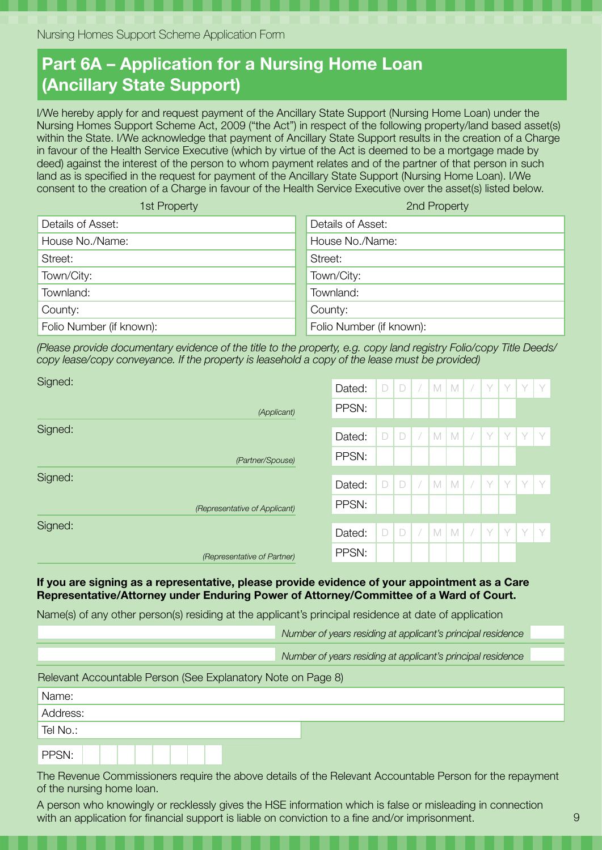## Part 6A – Application for a Nursing Home Loan (Ancillary State Support)

I/We hereby apply for and request payment of the Ancillary State Support (Nursing Home Loan) under the Nursing Homes Support Scheme Act, 2009 ("the Act") in respect of the following property/land based asset(s) within the State. I/We acknowledge that payment of Ancillary State Support results in the creation of a Charge in favour of the Health Service Executive (which by virtue of the Act is deemed to be a mortgage made by deed) against the interest of the person to whom payment relates and of the partner of that person in such land as is specified in the request for payment of the Ancillary State Support (Nursing Home Loan). I/We consent to the creation of a Charge in favour of the Health Service Executive over the asset(s) listed below.

| 1st Property             | 2nd Property             |
|--------------------------|--------------------------|
| Details of Asset:        | Details of Asset:        |
| House No./Name:          | House No./Name:          |
| Street:                  | Street:                  |
| Town/City:               | Town/City:               |
| Townland:                | Townland:                |
| County:                  | County:                  |
| Folio Number (if known): | Folio Number (if known): |

*(Please provide documentary evidence of the title to the property, e.g. copy land registry Folio/copy Title Deeds/ copy lease/copy conveyance. If the property is leasehold a copy of the lease must be provided)*

| Signed: |                               | Dated: | $\Box$ | $\Box$ | $\overline{\phantom{a}}$ | M | M           | $\overline{\phantom{a}}$ | Y | Y | Y | V |
|---------|-------------------------------|--------|--------|--------|--------------------------|---|-------------|--------------------------|---|---|---|---|
|         |                               |        |        |        |                          |   |             |                          |   |   |   |   |
|         | (Applicant)                   | PPSN:  |        |        |                          |   |             |                          |   |   |   |   |
| Signed: |                               |        |        |        |                          |   |             |                          |   |   |   |   |
|         |                               | Dated: | $\Box$ | $\Box$ |                          | M | $\mathbb N$ |                          | Y | Y | Y | Y |
|         | (Partner/Spouse)              | PPSN:  |        |        |                          |   |             |                          |   |   |   |   |
| Signed: |                               |        |        |        |                          |   |             |                          |   |   |   |   |
|         |                               | Dated: | $\Box$ | $\Box$ | $\bigg)$                 | M | $\mathbb N$ | $\overline{\phantom{a}}$ | Y | Y | Y | Y |
|         | (Representative of Applicant) | PPSN:  |        |        |                          |   |             |                          |   |   |   |   |
| Signed: |                               |        |        |        |                          |   |             |                          |   |   |   |   |
|         |                               | Dated: | $\Box$ | $\Box$ |                          | M | $\mathbb M$ |                          | Y | V | V | Y |
|         | (Representative of Partner)   | PPSN:  |        |        |                          |   |             |                          |   |   |   |   |

If you are signing as a representative, please provide evidence of your appointment as a Care Representative/Attorney under Enduring Power of Attorney/Committee of a Ward of Court.

Name(s) of any other person(s) residing at the applicant's principal residence at date of application

Tel No.:

PPSN:

|                                                              | Number of years residing at applicant's principal residence |  |
|--------------------------------------------------------------|-------------------------------------------------------------|--|
|                                                              | Number of years residing at applicant's principal residence |  |
| Relevant Accountable Person (See Explanatory Note on Page 8) |                                                             |  |
| Name:                                                        |                                                             |  |
| Address:                                                     |                                                             |  |

The Revenue Commissioners require the above details of the Relevant Accountable Person for the repayment of the nursing home loan.

A person who knowingly or recklessly gives the HSE information which is false or misleading in connection with an application for financial support is liable on conviction to a fine and/or imprisonment.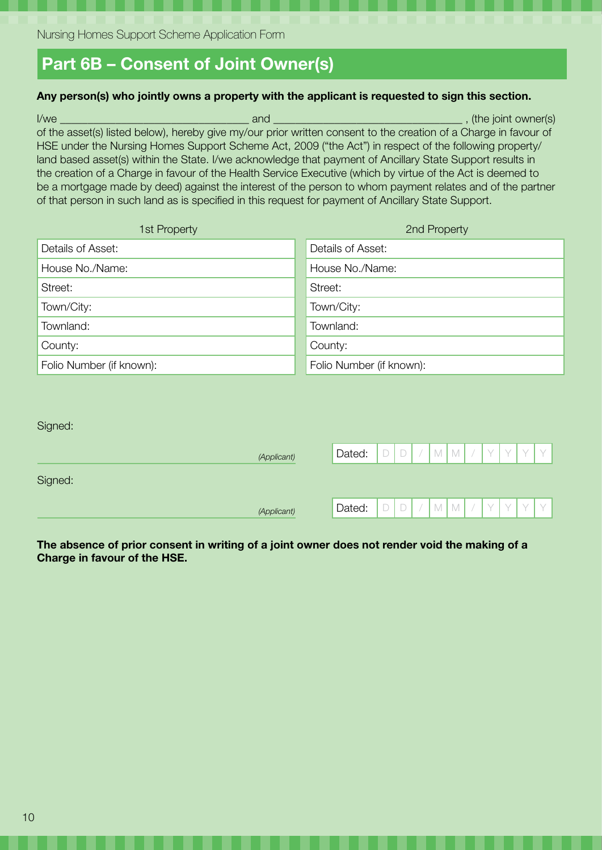### Part 6B – Consent of Joint Owner(s)

#### Any person(s) who jointly owns a property with the applicant is requested to sign this section.

I/we \_\_\_\_\_\_\_\_\_\_\_\_\_\_\_\_\_\_\_\_\_\_\_\_\_\_\_\_\_\_\_\_\_\_ and \_\_\_\_\_\_\_\_\_\_\_\_\_\_\_\_\_\_\_\_\_\_\_\_\_\_\_\_\_\_\_\_\_\_ , (the joint owner(s) of the asset(s) listed below), hereby give my/our prior written consent to the creation of a Charge in favour of HSE under the Nursing Homes Support Scheme Act, 2009 ("the Act") in respect of the following property/ land based asset(s) within the State. I/we acknowledge that payment of Ancillary State Support results in the creation of a Charge in favour of the Health Service Executive (which by virtue of the Act is deemed to be a mortgage made by deed) against the interest of the person to whom payment relates and of the partner of that person in such land as is specified in this request for payment of Ancillary State Support.

| 1st Property             | 2nd Property             |
|--------------------------|--------------------------|
| Details of Asset:        | Details of Asset:        |
| House No./Name:          | House No./Name:          |
| Street:                  | Street:                  |
| Town/City:               | Town/City:               |
| Townland:                | Townland:                |
| County:                  | County:                  |
| Folio Number (if known): | Folio Number (if known): |

| Signed: |  |
|---------|--|
|---------|--|

| (Applicant) | Dated: | <b>COLLA</b> | $\Box$       |   | $\mathbb M$ | $\vee$      | $\vee$    | $\sqrt{}$ |  |
|-------------|--------|--------------|--------------|---|-------------|-------------|-----------|-----------|--|
| Signed:     |        |              |              |   |             |             |           |           |  |
| (Applicant) | Dated: | <b>COLLA</b> | <b>COLLA</b> | M | M           | $\setminus$ | $\sqrt{}$ | $\vee$    |  |

The absence of prior consent in writing of a joint owner does not render void the making of a Charge in favour of the HSE.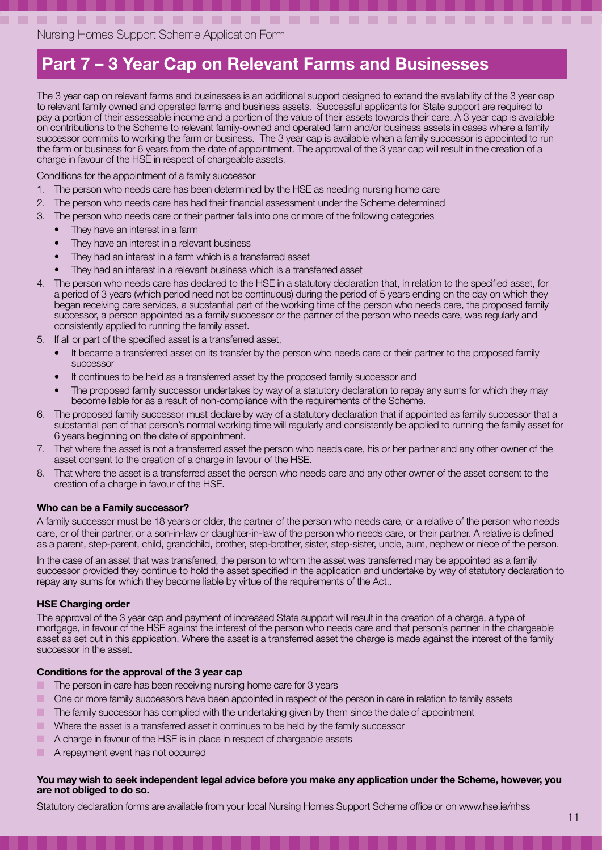### Part 7 – 3 Year Cap on Relevant Farms and Businesses

The 3 year cap on relevant farms and businesses is an additional support designed to extend the availability of the 3 year cap to relevant family owned and operated farms and business assets. Successful applicants for State support are required to pay a portion of their assessable income and a portion of the value of their assets towards their care. A 3 year cap is available on contributions to the Scheme to relevant family-owned and operated farm and/or business assets in cases where a family successor commits to working the farm or business. The 3 year cap is available when a family successor is appointed to run the farm or business for 6 years from the date of appointment. The approval of the 3 year cap will result in the creation of a charge in favour of the HSE in respect of chargeable assets.

Conditions for the appointment of a family successor

- 1. The person who needs care has been determined by the HSE as needing nursing home care
- 2. The person who needs care has had their financial assessment under the Scheme determined
- 3. The person who needs care or their partner falls into one or more of the following categories
	- They have an interest in a farm
	- They have an interest in a relevant business
	- They had an interest in a farm which is a transferred asset
	- They had an interest in a relevant business which is a transferred asset
- 4. The person who needs care has declared to the HSE in a statutory declaration that, in relation to the specified asset, for a period of 3 years (which period need not be continuous) during the period of 5 years ending on the day on which they began receiving care services, a substantial part of the working time of the person who needs care, the proposed family successor, a person appointed as a family successor or the partner of the person who needs care, was regularly and consistently applied to running the family asset.
- 5. If all or part of the specified asset is a transferred asset,
	- It became a transferred asset on its transfer by the person who needs care or their partner to the proposed family successor
	- It continues to be held as a transferred asset by the proposed family successor and
	- The proposed family successor undertakes by way of a statutory declaration to repay any sums for which they may become liable for as a result of non-compliance with the requirements of the Scheme.
- 6. The proposed family successor must declare by way of a statutory declaration that if appointed as family successor that a substantial part of that person's normal working time will regularly and consistently be applied to running the family asset for 6 years beginning on the date of appointment.
- 7. That where the asset is not a transferred asset the person who needs care, his or her partner and any other owner of the asset consent to the creation of a charge in favour of the HSE.
- 8. That where the asset is a transferred asset the person who needs care and any other owner of the asset consent to the creation of a charge in favour of the HSE.

#### Who can be a Family successor?

A family successor must be 18 years or older, the partner of the person who needs care, or a relative of the person who needs care, or of their partner, or a son-in-law or daughter-in-law of the person who needs care, or their partner. A relative is defined as a parent, step-parent, child, grandchild, brother, step-brother, sister, step-sister, uncle, aunt, nephew or niece of the person.

In the case of an asset that was transferred, the person to whom the asset was transferred may be appointed as a family successor provided they continue to hold the asset specified in the application and undertake by way of statutory declaration to repay any sums for which they become liable by virtue of the requirements of the Act..

#### HSE Charging order

The approval of the 3 year cap and payment of increased State support will result in the creation of a charge, a type of mortgage, in favour of the HSE against the interest of the person who needs care and that person's partner in the chargeable asset as set out in this application. Where the asset is a transferred asset the charge is made against the interest of the family successor in the asset.

#### Conditions for the approval of the 3 year cap

- The person in care has been receiving nursing home care for 3 years
- One or more family successors have been appointed in respect of the person in care in relation to family assets
- The family successor has complied with the undertaking given by them since the date of appointment
- Where the asset is a transferred asset it continues to be held by the family successor
- A charge in favour of the HSE is in place in respect of chargeable assets
- A repayment event has not occurred

#### You may wish to seek independent legal advice before you make any application under the Scheme, however, you are not obliged to do so.

Statutory declaration forms are available from your local Nursing Homes Support Scheme office or on www.hse.ie/nhss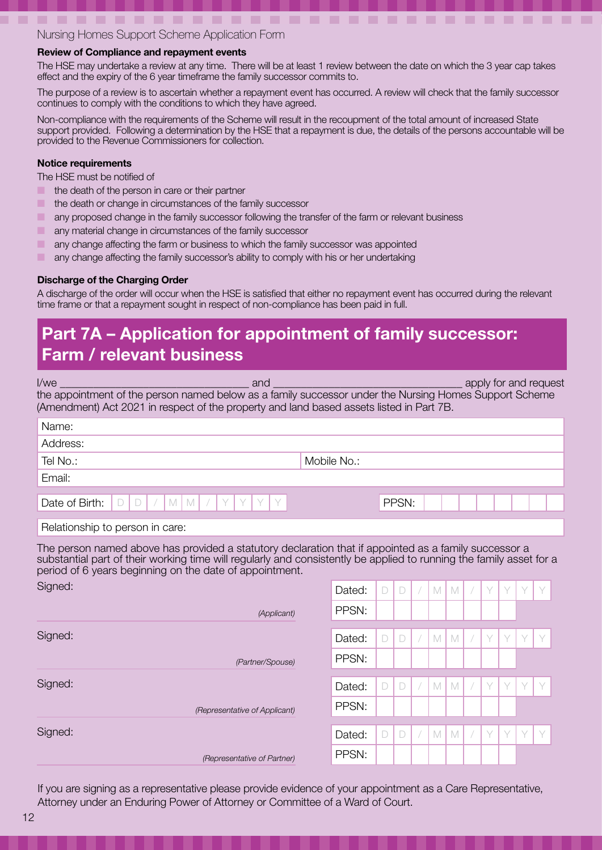#### Review of Compliance and repayment events

The HSE may undertake a review at any time. There will be at least 1 review between the date on which the 3 year cap takes effect and the expiry of the 6 year timeframe the family successor commits to.

-------------------------------

The purpose of a review is to ascertain whether a repayment event has occurred. A review will check that the family successor continues to comply with the conditions to which they have agreed.

Non-compliance with the requirements of the Scheme will result in the recoupment of the total amount of increased State support provided. Following a determination by the HSE that a repayment is due, the details of the persons accountable will be provided to the Revenue Commissioners for collection.

#### Notice requirements

The HSE must be notified of

- **ID** the death of the person in care or their partner
- **The death or change in circumstances of the family successor**
- any proposed change in the family successor following the transfer of the farm or relevant business
- **EXECUTE:** any material change in circumstances of the family successor
- any change affecting the farm or business to which the family successor was appointed
- any change affecting the family successor's ability to comply with his or her undertaking

### Discharge of the Charging Order

A discharge of the order will occur when the HSE is satisfied that either no repayment event has occurred during the relevant time frame or that a repayment sought in respect of non-compliance has been paid in full.

### Part 7A – Application for appointment of family successor: Farm / relevant business

| $l$ /we                                                                                                                                                                                                                                                                                 | and              |                    |        |        |             |             |          |   |   |   | apply for and request |  |
|-----------------------------------------------------------------------------------------------------------------------------------------------------------------------------------------------------------------------------------------------------------------------------------------|------------------|--------------------|--------|--------|-------------|-------------|----------|---|---|---|-----------------------|--|
| the appointment of the person named below as a family successor under the Nursing Homes Support Scheme<br>(Amendment) Act 2021 in respect of the property and land based assets listed in Part 7B.                                                                                      |                  |                    |        |        |             |             |          |   |   |   |                       |  |
| Name:                                                                                                                                                                                                                                                                                   |                  |                    |        |        |             |             |          |   |   |   |                       |  |
| Address:                                                                                                                                                                                                                                                                                |                  |                    |        |        |             |             |          |   |   |   |                       |  |
| Tel No.:                                                                                                                                                                                                                                                                                |                  | Mobile No.:        |        |        |             |             |          |   |   |   |                       |  |
| Email:                                                                                                                                                                                                                                                                                  |                  |                    |        |        |             |             |          |   |   |   |                       |  |
| Y<br>Y<br>M<br>Date of Birth:<br>$\Box$<br>M<br>$\Box$                                                                                                                                                                                                                                  | Y<br>Y           |                    |        | PPSN:  |             |             |          |   |   |   |                       |  |
| Relationship to person in care:                                                                                                                                                                                                                                                         |                  |                    |        |        |             |             |          |   |   |   |                       |  |
| The person named above has provided a statutory declaration that if appointed as a family successor a<br>substantial part of their working time will regularly and consistently be applied to running the family asset for a<br>period of 6 years beginning on the date of appointment. |                  |                    |        |        |             |             |          |   |   |   |                       |  |
| Signed:                                                                                                                                                                                                                                                                                 |                  | Dated:             | D      | $\Box$ | M           | M           | $\bigg)$ | Y | Y | Y | Y                     |  |
|                                                                                                                                                                                                                                                                                         | (Applicant)      | PPSN:              |        |        |             |             |          |   |   |   |                       |  |
| Signed:                                                                                                                                                                                                                                                                                 |                  | Dated:             | $\Box$ | $\Box$ | $\mathbb M$ | M           |          | Y | Y | Y | Y                     |  |
|                                                                                                                                                                                                                                                                                         | (Partner/Spouse) | PPSN:              |        |        |             |             |          |   |   |   |                       |  |
| Signed:                                                                                                                                                                                                                                                                                 |                  | Dated:             | D      | $\Box$ | $\mathbb M$ | $\mathbb M$ |          | Y | Y | Y | Y                     |  |
| (Representative of Applicant)                                                                                                                                                                                                                                                           |                  | PPSN:              |        |        |             |             |          |   |   |   |                       |  |
| Signed:                                                                                                                                                                                                                                                                                 |                  | Dated <sup>.</sup> |        |        |             | M M         |          |   | Y |   | $\vee$                |  |

If you are signing as a representative please provide evidence of your appointment as a Care Representative, Attorney under an Enduring Power of Attorney or Committee of a Ward of Court.

Dated: PPSN:

*(Representative of Partner)*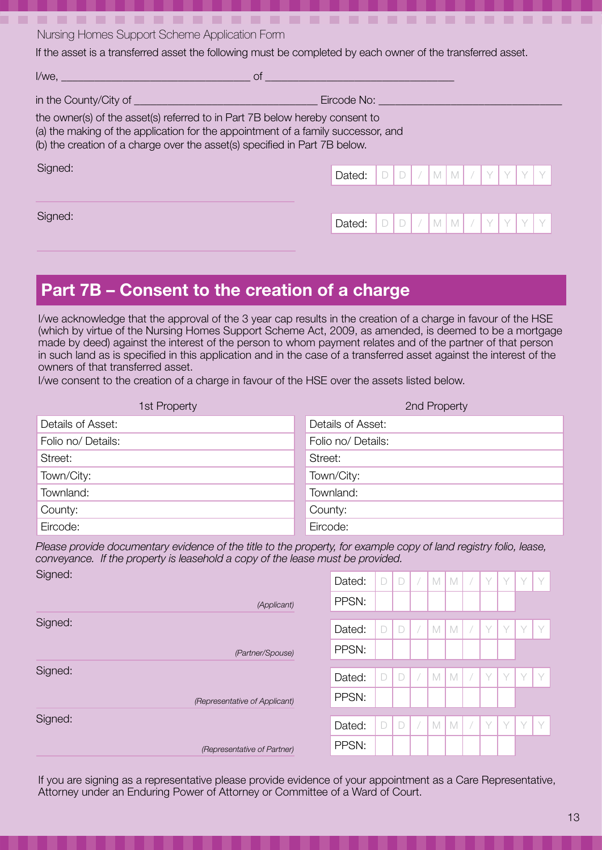If the asset is a transferred asset the following must be completed by each owner of the transferred asset.

| l/we,<br><sub>of</sub>                                                                                                                                                                                                                        |                                                 |
|-----------------------------------------------------------------------------------------------------------------------------------------------------------------------------------------------------------------------------------------------|-------------------------------------------------|
| in the County/City of                                                                                                                                                                                                                         | Eircode No:                                     |
| the owner(s) of the asset(s) referred to in Part 7B below hereby consent to<br>(a) the making of the application for the appointment of a family successor, and<br>(b) the creation of a charge over the asset(s) specified in Part 7B below. |                                                 |
| Signed:                                                                                                                                                                                                                                       | Dated:<br>$\sqrt{2}$                            |
| Signed:                                                                                                                                                                                                                                       | M <sub>1</sub><br>Y<br>M <sub>1</sub><br>Dated: |
|                                                                                                                                                                                                                                               |                                                 |

### Part 7B – Consent to the creation of a charge

I/we acknowledge that the approval of the 3 year cap results in the creation of a charge in favour of the HSE (which by virtue of the Nursing Homes Support Scheme Act, 2009, as amended, is deemed to be a mortgage made by deed) against the interest of the person to whom payment relates and of the partner of that person in such land as is specified in this application and in the case of a transferred asset against the interest of the owners of that transferred asset.

I/we consent to the creation of a charge in favour of the HSE over the assets listed below.

| 1st Property       | 2nd Property       |
|--------------------|--------------------|
| Details of Asset:  | Details of Asset:  |
| Folio no/ Details: | Folio no/ Details: |
| Street:            | Street:            |
| Town/City:         | Town/City:         |
| Townland:          | Townland:          |
| County:            | County:            |
| Eircode:           | Eircode:           |

*Please provide documentary evidence of the title to the property, for example copy of land registry folio, lease, conveyance. If the property is leasehold a copy of the lease must be provided.* Signed:

|         | (Representative of Partner)   | PPSN:  |        |        |                |             |   |        |   |        |
|---------|-------------------------------|--------|--------|--------|----------------|-------------|---|--------|---|--------|
| Signed: |                               | Dated: | $\Box$ | $\Box$ | M <sub>1</sub> | M           | Y | V      | Y | $\vee$ |
|         | (Representative of Applicant) | PPSN:  |        |        |                |             |   |        |   |        |
| Signed: |                               | Dated: | $\Box$ | $\Box$ | M              | $\mathbb M$ | V |        | Y | $\vee$ |
|         | (Partner/Spouse)              | PPSN:  |        |        |                |             |   |        |   |        |
| Signed: |                               | Dated: | $\Box$ | $\Box$ | M              | $\mathbb M$ | Y | $\vee$ | Y | , V    |
|         | (Applicant)                   | PPSN:  |        |        |                |             |   |        |   |        |
| Signed: |                               | Dated: | D      | $\Box$ | M <sub>1</sub> | $\mathbb M$ | Y | $\vee$ | Y | $\vee$ |

If you are signing as a representative please provide evidence of your appointment as a Care Representative, Attorney under an Enduring Power of Attorney or Committee of a Ward of Court.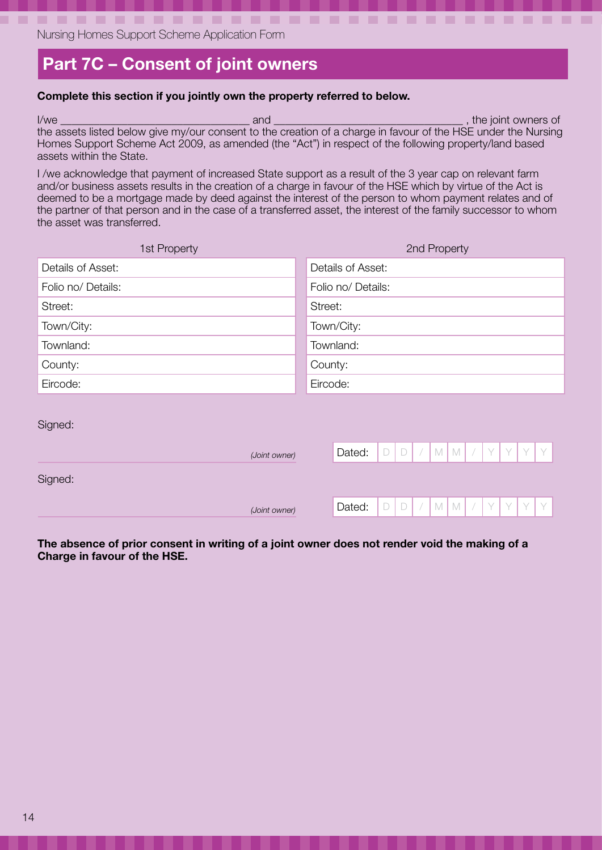### Part 7C – Consent of joint owners

#### Complete this section if you jointly own the property referred to below.

I/we latter the contract of the contract of the state of the contract of the state of the joint owners of the assets listed below give my/our consent to the creation of a charge in favour of the HSE under the Nursing Homes Support Scheme Act 2009, as amended (the "Act") in respect of the following property/land based assets within the State.

-------------------------------

I /we acknowledge that payment of increased State support as a result of the 3 year cap on relevant farm and/or business assets results in the creation of a charge in favour of the HSE which by virtue of the Act is deemed to be a mortgage made by deed against the interest of the person to whom payment relates and of the partner of that person and in the case of a transferred asset, the interest of the family successor to whom the asset was transferred.

| 1st Property         |               |                   |                    |        |                                    | 2nd Property |              |  |   |   |   |   |  |
|----------------------|---------------|-------------------|--------------------|--------|------------------------------------|--------------|--------------|--|---|---|---|---|--|
| Details of Asset:    |               | Details of Asset: |                    |        |                                    |              |              |  |   |   |   |   |  |
| Folio no/ Details:   |               |                   | Folio no/ Details: |        |                                    |              |              |  |   |   |   |   |  |
| Street:              |               | Street:           |                    |        |                                    |              |              |  |   |   |   |   |  |
| Town/City:           |               |                   | Town/City:         |        |                                    |              |              |  |   |   |   |   |  |
| Townland:            |               |                   | Townland:          |        |                                    |              |              |  |   |   |   |   |  |
| County:              |               | County:           |                    |        |                                    |              |              |  |   |   |   |   |  |
| Eircode:<br>Eircode: |               |                   |                    |        |                                    |              |              |  |   |   |   |   |  |
| Signed:              |               |                   |                    |        |                                    |              |              |  |   |   |   |   |  |
|                      | (Joint owner) |                   | Dated:             | $\Box$ | $\Box$<br>$\overline{\phantom{a}}$ | $\mathbb M$  | $\mathbb{M}$ |  | Y | Y | Y | Y |  |
| Signed:              |               |                   |                    |        |                                    |              |              |  |   |   |   |   |  |
|                      | (Joint owner) |                   | Dated:             | $\Box$ | $\Box$<br>$\overline{\phantom{a}}$ | $\mathbb M$  | M            |  | Y | Y | Y | Y |  |
|                      |               |                   |                    |        |                                    |              |              |  |   |   |   |   |  |

The absence of prior consent in writing of a joint owner does not render void the making of a Charge in favour of the HSE.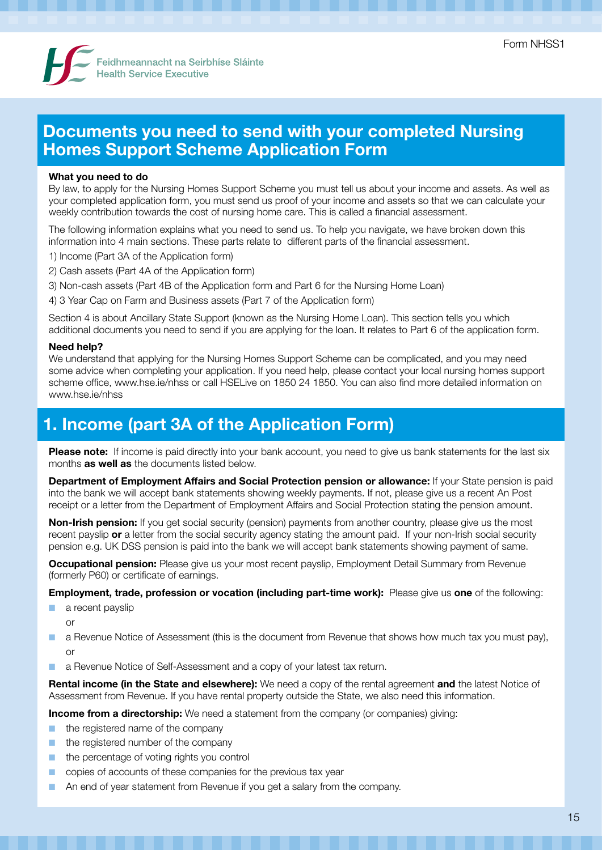

### Documents you need to send with your completed Nursing Homes Support Scheme Application Form

#### What you need to do

By law, to apply for the Nursing Homes Support Scheme you must tell us about your income and assets. As well as your completed application form, you must send us proof of your income and assets so that we can calculate your weekly contribution towards the cost of nursing home care. This is called a financial assessment.

The following information explains what you need to send us. To help you navigate, we have broken down this information into 4 main sections. These parts relate to different parts of the financial assessment.

- 1) Income (Part 3A of the Application form)
- 2) Cash assets (Part 4A of the Application form)
- 3) Non-cash assets (Part 4B of the Application form and Part 6 for the Nursing Home Loan)
- 4) 3 Year Cap on Farm and Business assets (Part 7 of the Application form)

Section 4 is about Ancillary State Support (known as the Nursing Home Loan). This section tells you which additional documents you need to send if you are applying for the loan. It relates to Part 6 of the application form.

#### Need help?

We understand that applying for the Nursing Homes Support Scheme can be complicated, and you may need some advice when completing your application. If you need help, please contact your local nursing homes support scheme office, www.hse.ie/nhss or call HSELive on 1850 24 1850. You can also find more detailed information on www.hse.je/nhss.

### 1. Income (part 3A of the Application Form)

Please note: If income is paid directly into your bank account, you need to give us bank statements for the last six months **as well as** the documents listed below.

**Department of Employment Affairs and Social Protection pension or allowance:** If your State pension is paid into the bank we will accept bank statements showing weekly payments. If not, please give us a recent An Post receipt or a letter from the Department of Employment Affairs and Social Protection stating the pension amount.

**Non-Irish pension:** If you get social security (pension) payments from another country, please give us the most recent payslip or a letter from the social security agency stating the amount paid. If your non-Irish social security pension e.g. UK DSS pension is paid into the bank we will accept bank statements showing payment of same.

**Occupational pension:** Please give us your most recent payslip, Employment Detail Summary from Revenue (formerly P60) or certificate of earnings.

**Employment, trade, profession or vocation (including part-time work):** Please give us one of the following:

- a recent payslip
	- or
- a Revenue Notice of Assessment (this is the document from Revenue that shows how much tax you must pay), or
- a Revenue Notice of Self-Assessment and a copy of your latest tax return.

Rental income (in the State and elsewhere): We need a copy of the rental agreement and the latest Notice of Assessment from Revenue. If you have rental property outside the State, we also need this information.

**Income from a directorship:** We need a statement from the company (or companies) giving:

- the registered name of the company
- the registered number of the company
- the percentage of voting rights you control
- copies of accounts of these companies for the previous tax year
- An end of year statement from Revenue if you get a salary from the company.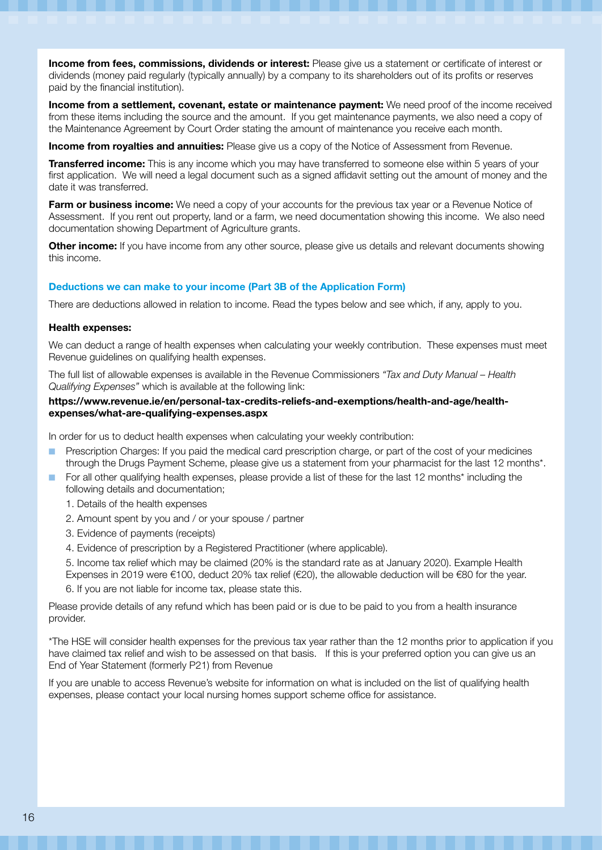Income from fees, commissions, dividends or interest: Please give us a statement or certificate of interest or dividends (money paid regularly (typically annually) by a company to its shareholders out of its profits or reserves paid by the financial institution).

Income from a settlement, covenant, estate or maintenance payment: We need proof of the income received from these items including the source and the amount. If you get maintenance payments, we also need a copy of the Maintenance Agreement by Court Order stating the amount of maintenance you receive each month.

Income from royalties and annuities: Please give us a copy of the Notice of Assessment from Revenue.

**Transferred income:** This is any income which you may have transferred to someone else within 5 years of your first application. We will need a legal document such as a signed affidavit setting out the amount of money and the date it was transferred.

Farm or business income: We need a copy of your accounts for the previous tax year or a Revenue Notice of Assessment. If you rent out property, land or a farm, we need documentation showing this income. We also need documentation showing Department of Agriculture grants.

**Other income:** If you have income from any other source, please give us details and relevant documents showing this income.

#### Deductions we can make to your income (Part 3B of the Application Form)

There are deductions allowed in relation to income. Read the types below and see which, if any, apply to you.

#### Health expenses:

We can deduct a range of health expenses when calculating your weekly contribution. These expenses must meet Revenue guidelines on qualifying health expenses.

The full list of allowable expenses is available in the Revenue Commissioners *"Tax and Duty Manual – Health Qualifying Expenses"* which is available at the following link:

#### https://www.revenue.ie/en/personal-tax-credits-reliefs-and-exemptions/health-and-age/healthexpenses/what-are-qualifying-expenses.aspx

In order for us to deduct health expenses when calculating your weekly contribution:

- Prescription Charges: If you paid the medical card prescription charge, or part of the cost of your medicines through the Drugs Payment Scheme, please give us a statement from your pharmacist for the last 12 months\*.
- For all other qualifying health expenses, please provide a list of these for the last 12 months\* including the following details and documentation;
	- 1. Details of the health expenses
	- 2. Amount spent by you and / or your spouse / partner
	- 3. Evidence of payments (receipts)
	- 4. Evidence of prescription by a Registered Practitioner (where applicable).
	- 5. Income tax relief which may be claimed (20% is the standard rate as at January 2020). Example Health Expenses in 2019 were €100, deduct 20% tax relief (€20), the allowable deduction will be €80 for the year.
	- 6. If you are not liable for income tax, please state this.

Please provide details of any refund which has been paid or is due to be paid to you from a health insurance provider.

\*The HSE will consider health expenses for the previous tax year rather than the 12 months prior to application if you have claimed tax relief and wish to be assessed on that basis. If this is your preferred option you can give us an End of Year Statement (formerly P21) from Revenue

If you are unable to access Revenue's website for information on what is included on the list of qualifying health expenses, please contact your local nursing homes support scheme office for assistance.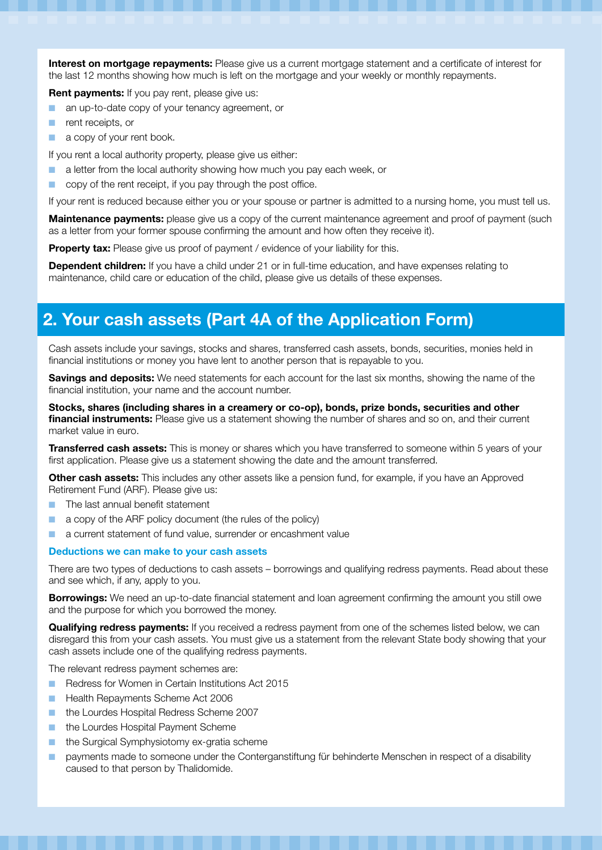Interest on mortgage repayments: Please give us a current mortgage statement and a certificate of interest for the last 12 months showing how much is left on the mortgage and your weekly or monthly repayments.

Rent payments: If you pay rent, please give us:

- an up-to-date copy of your tenancy agreement, or
- rent receipts, or
- a copy of your rent book.

If you rent a local authority property, please give us either:

- a letter from the local authority showing how much you pay each week, or
- copy of the rent receipt, if you pay through the post office.

If your rent is reduced because either you or your spouse or partner is admitted to a nursing home, you must tell us.

**Maintenance payments:** please give us a copy of the current maintenance agreement and proof of payment (such as a letter from your former spouse confirming the amount and how often they receive it).

Property tax: Please give us proof of payment / evidence of your liability for this.

**Dependent children:** If you have a child under 21 or in full-time education, and have expenses relating to maintenance, child care or education of the child, please give us details of these expenses.

### 2. Your cash assets (Part 4A of the Application Form)

Cash assets include your savings, stocks and shares, transferred cash assets, bonds, securities, monies held in financial institutions or money you have lent to another person that is repayable to you.

**Savings and deposits:** We need statements for each account for the last six months, showing the name of the financial institution, your name and the account number.

Stocks, shares (including shares in a creamery or co-op), bonds, prize bonds, securities and other **financial instruments:** Please give us a statement showing the number of shares and so on, and their current market value in euro.

**Transferred cash assets:** This is money or shares which you have transferred to someone within 5 years of your first application. Please give us a statement showing the date and the amount transferred.

Other cash assets: This includes any other assets like a pension fund, for example, if you have an Approved Retirement Fund (ARF). Please give us:

- The last annual benefit statement
- a copy of the ARF policy document (the rules of the policy)
- a current statement of fund value, surrender or encashment value

#### Deductions we can make to your cash assets

There are two types of deductions to cash assets – borrowings and qualifying redress payments. Read about these and see which, if any, apply to you.

**Borrowings:** We need an up-to-date financial statement and loan agreement confirming the amount you still owe and the purpose for which you borrowed the money.

**Qualifying redress payments:** If you received a redress payment from one of the schemes listed below, we can disregard this from your cash assets. You must give us a statement from the relevant State body showing that your cash assets include one of the qualifying redress payments.

The relevant redress payment schemes are:

- Redress for Women in Certain Institutions Act 2015
- Health Repayments Scheme Act 2006
- the Lourdes Hospital Redress Scheme 2007
- the Lourdes Hospital Payment Scheme
- the Surgical Symphysiotomy ex-gratia scheme
- payments made to someone under the Conterganstiftung für behinderte Menschen in respect of a disability caused to that person by Thalidomide.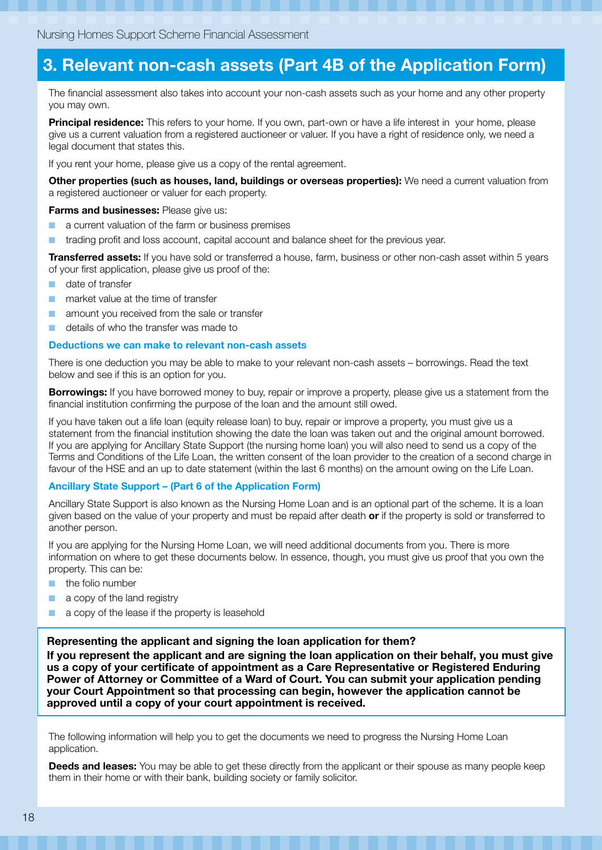### 3. Relevant non-cash assets (Part 4B of the Application Form)

The financial assessment also takes into account your non-cash assets such as your home and any other property you may own.

**Principal residence:** This refers to your home. If you own, part-own or have a life interest in your home, please give us a current valuation from a registered auctioneer or valuer. If you have a right of residence only, we need a legal document that states this.

If you rent your home, please give us a copy of the rental agreement.

Other properties (such as houses, land, buildings or overseas properties): We need a current valuation from a registered auctioneer or valuer for each property.

Farms and businesses: Please give us:

- a current valuation of the farm or business premises
- trading profit and loss account, capital account and balance sheet for the previous year.

**Transferred assets:** If you have sold or transferred a house, farm, business or other non-cash asset within 5 years of your first application, please give us proof of the:

- date of transfer
- market value at the time of transfer
- amount you received from the sale or transfer
- details of who the transfer was made to

#### Deductions we can make to relevant non-cash assets

There is one deduction you may be able to make to your relevant non-cash assets – borrowings. Read the text below and see if this is an option for you.

**Borrowings:** If you have borrowed money to buy, repair or improve a property, please give us a statement from the financial institution confirming the purpose of the loan and the amount still owed.

If you have taken out a life loan (equity release loan) to buy, repair or improve a property, you must give us a statement from the financial institution showing the date the loan was taken out and the original amount borrowed. If you are applying for Ancillary State Support (the nursing home loan) you will also need to send us a copy of the Terms and Conditions of the Life Loan, the written consent of the loan provider to the creation of a second charge in favour of the HSE and an up to date statement (within the last 6 months) on the amount owing on the Life Loan.

#### Ancillary State Support – (Part 6 of the Application Form)

Ancillary State Support is also known as the Nursing Home Loan and is an optional part of the scheme. It is a loan given based on the value of your property and must be repaid after death or if the property is sold or transferred to another person.

If you are applying for the Nursing Home Loan, we will need additional documents from you. There is more information on where to get these documents below. In essence, though, you must give us proof that you own the property. This can be:

- the folio number
- a copy of the land registry
- a copy of the lease if the property is leasehold

#### Representing the applicant and signing the loan application for them?

If you represent the applicant and are signing the loan application on their behalf, you must give us a copy of your certificate of appointment as a Care Representative or Registered Enduring Power of Attorney or Committee of a Ward of Court. You can submit your application pending your Court Appointment so that processing can begin, however the application cannot be approved until a copy of your court appointment is received.

The following information will help you to get the documents we need to progress the Nursing Home Loan application.

Deeds and leases: You may be able to get these directly from the applicant or their spouse as many people keep them in their home or with their bank, building society or family solicitor.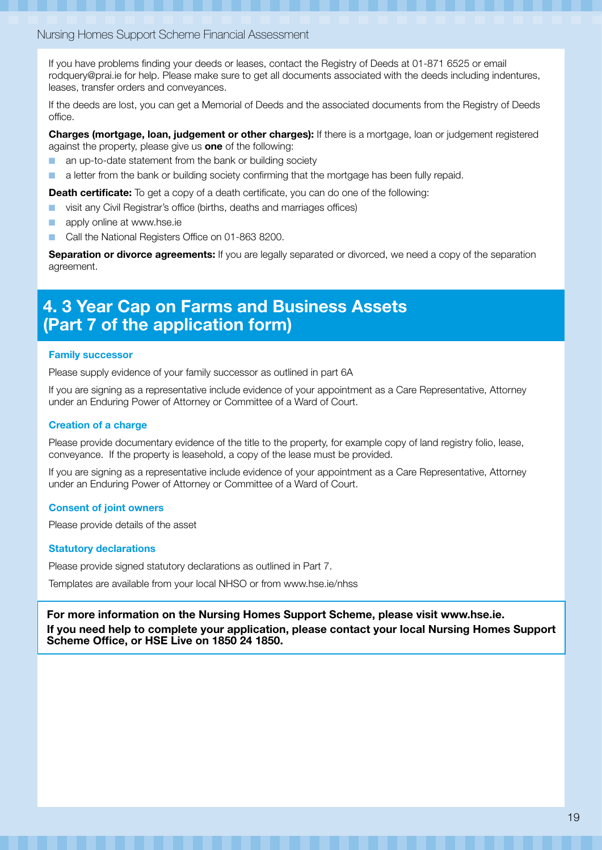#### Nursing Homes Support Scheme Financial Assessment

If you have problems finding your deeds or leases, contact the Registry of Deeds at 01-871 6525 or email rodquery@prai.ie for help. Please make sure to get all documents associated with the deeds including indentures, leases, transfer orders and conveyances.

If the deeds are lost, you can get a Memorial of Deeds and the associated documents from the Registry of Deeds office.

Charges (mortgage, loan, judgement or other charges): If there is a mortgage, loan or judgement registered against the property, please give us **one** of the following:

- an up-to-date statement from the bank or building society
- a letter from the bank or building society confirming that the mortgage has been fully repaid.

**Death certificate:** To get a copy of a death certificate, you can do one of the following:

- visit any Civil Registrar's office (births, deaths and marriages offices)
- apply online at www.hse.ie
- Call the National Registers Office on 01-863 8200.

**Separation or divorce agreements:** If you are legally separated or divorced, we need a copy of the separation agreement.

### 4. 3 Year Cap on Farms and Business Assets (Part 7 of the application form)

#### Family successor

Please supply evidence of your family successor as outlined in part 6A

If you are signing as a representative include evidence of your appointment as a Care Representative, Attorney under an Enduring Power of Attorney or Committee of a Ward of Court.

#### Creation of a charge

Please provide documentary evidence of the title to the property, for example copy of land registry folio, lease, conveyance. If the property is leasehold, a copy of the lease must be provided.

If you are signing as a representative include evidence of your appointment as a Care Representative, Attorney under an Enduring Power of Attorney or Committee of a Ward of Court.

#### Consent of joint owners

Please provide details of the asset

#### Statutory declarations

Please provide signed statutory declarations as outlined in Part 7.

Templates are available from your local NHSO or from www.hse.ie/nhss

For more information on the Nursing Homes Support Scheme, please visit www.hse.ie. If you need help to complete your application, please contact your local Nursing Homes Support Scheme Office, or HSE Live on 1850 24 1850.